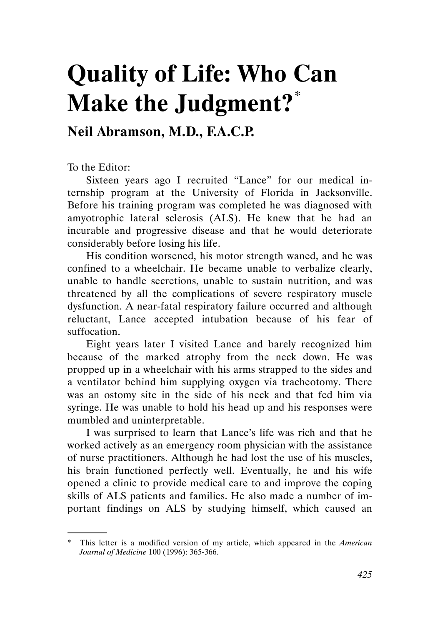## Quality of Life: Who Can Make the Judgment?\*

## Neil Abramson, M.D., F.A.C.P.

To the Editor:

.

Sixteen years ago I recruited "Lance" for our medical internship program at the University of Florida in Jacksonville. Before his training program was completed he was diagnosed with amyotrophic lateral sclerosis (ALS). He knew that he had an incurable and progressive disease and that he would deteriorate considerably before losing his life.

His condition worsened, his motor strength waned, and he was confined to a wheelchair. He became unable to verbalize clearly, unable to handle secretions, unable to sustain nutrition, and was threatened by all the complications of severe respiratory muscle dysfunction. A near-fatal respiratory failure occurred and although reluctant, Lance accepted intubation because of his fear of suffocation.

Eight years later I visited Lance and barely recognized him because of the marked atrophy from the neck down. He was propped up in a wheelchair with his arms strapped to the sides and a ventilator behind him supplying oxygen via tracheotomy. There was an ostomy site in the side of his neck and that fed him via syringe. He was unable to hold his head up and his responses were mumbled and uninterpretable.

I was surprised to learn that Lance's life was rich and that he worked actively as an emergency room physician with the assistance of nurse practitioners. Although he had lost the use of his muscles, his brain functioned perfectly well. Eventually, he and his wife opened a clinic to provide medical care to and improve the coping skills of ALS patients and families. He also made a number of important findings on ALS by studying himself, which caused an

<sup>\*</sup> This letter is a modified version of my article, which appeared in the American Journal of Medicine 100 (1996): 365-366.